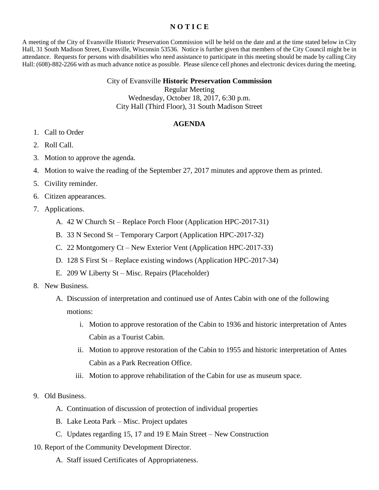## **N O T I C E**

A meeting of the City of Evansville Historic Preservation Commission will be held on the date and at the time stated below in City Hall, 31 South Madison Street, Evansville, Wisconsin 53536. Notice is further given that members of the City Council might be in attendance. Requests for persons with disabilities who need assistance to participate in this meeting should be made by calling City Hall: (608)-882-2266 with as much advance notice as possible. Please silence cell phones and electronic devices during the meeting.

## City of Evansville **Historic Preservation Commission**

Regular Meeting

Wednesday, October 18, 2017, 6:30 p.m. City Hall (Third Floor), 31 South Madison Street

## **AGENDA**

- 1. Call to Order
- 2. Roll Call.
- 3. Motion to approve the agenda.
- 4. Motion to waive the reading of the September 27, 2017 minutes and approve them as printed.
- 5. Civility reminder.
- 6. Citizen appearances.
- 7. Applications.
	- A. 42 W Church St Replace Porch Floor (Application HPC-2017-31)
	- B. 33 N Second St Temporary Carport (Application HPC-2017-32)
	- C. 22 Montgomery Ct New Exterior Vent (Application HPC-2017-33)
	- D. 128 S First St Replace existing windows (Application HPC-2017-34)
	- E. 209 W Liberty St Misc. Repairs (Placeholder)
- 8. New Business.
	- A. Discussion of interpretation and continued use of Antes Cabin with one of the following motions:
		- i. Motion to approve restoration of the Cabin to 1936 and historic interpretation of Antes Cabin as a Tourist Cabin.
		- ii. Motion to approve restoration of the Cabin to 1955 and historic interpretation of Antes Cabin as a Park Recreation Office.
		- iii. Motion to approve rehabilitation of the Cabin for use as museum space.
- 9. Old Business.
	- A. Continuation of discussion of protection of individual properties
	- B. Lake Leota Park Misc. Project updates
	- C. Updates regarding 15, 17 and 19 E Main Street New Construction
- 10. Report of the Community Development Director.
	- A. Staff issued Certificates of Appropriateness.